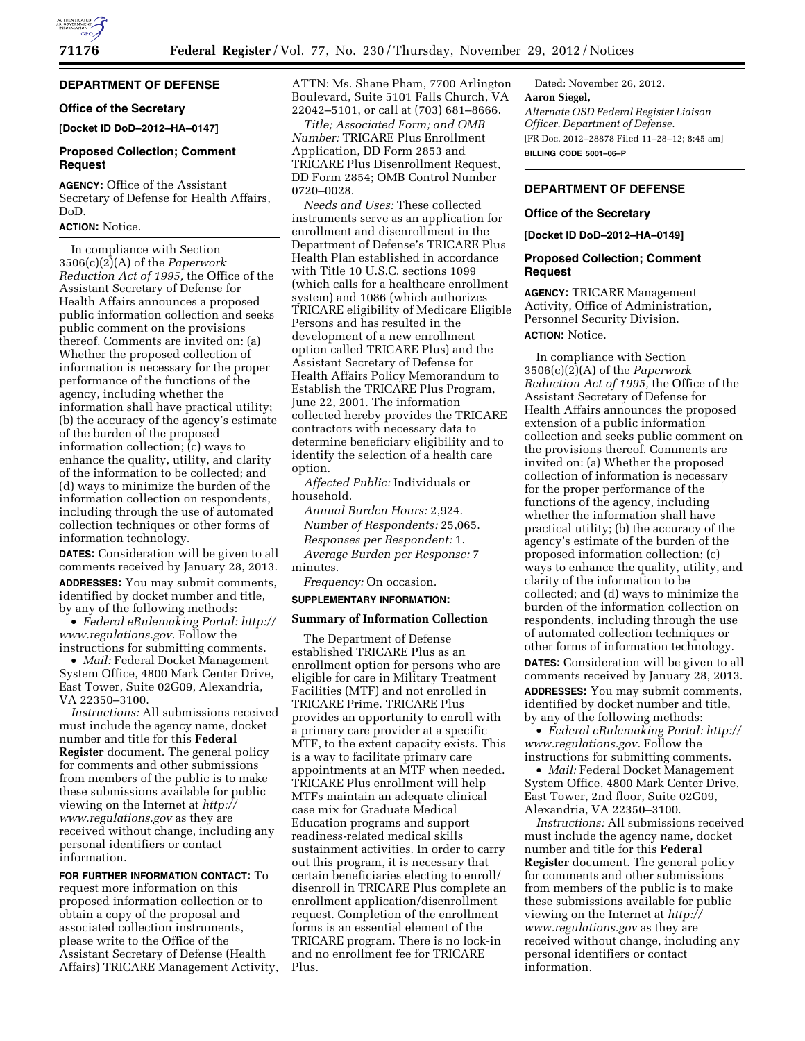

# **DEPARTMENT OF DEFENSE**

# **Office of the Secretary**

**[Docket ID DoD–2012–HA–0147]** 

## **Proposed Collection; Comment Request**

**AGENCY:** Office of the Assistant Secretary of Defense for Health Affairs, DoD.

#### **ACTION:** Notice.

In compliance with Section 3506(c)(2)(A) of the *Paperwork Reduction Act of 1995,* the Office of the Assistant Secretary of Defense for Health Affairs announces a proposed public information collection and seeks public comment on the provisions thereof. Comments are invited on: (a) Whether the proposed collection of information is necessary for the proper performance of the functions of the agency, including whether the information shall have practical utility; (b) the accuracy of the agency's estimate of the burden of the proposed information collection; (c) ways to enhance the quality, utility, and clarity of the information to be collected; and (d) ways to minimize the burden of the information collection on respondents, including through the use of automated collection techniques or other forms of information technology.

**DATES:** Consideration will be given to all comments received by January 28, 2013. **ADDRESSES:** You may submit comments, identified by docket number and title, by any of the following methods:

• *Federal eRulemaking Portal: [http://](http://www.regulations.gov)  [www.regulations.gov](http://www.regulations.gov)*. Follow the instructions for submitting comments.

• *Mail:* Federal Docket Management System Office, 4800 Mark Center Drive, East Tower, Suite 02G09, Alexandria, VA 22350–3100.

*Instructions:* All submissions received must include the agency name, docket number and title for this **Federal Register** document. The general policy for comments and other submissions from members of the public is to make these submissions available for public viewing on the Internet at *[http://](http://www.regulations.gov) [www.regulations.gov](http://www.regulations.gov)* as they are received without change, including any personal identifiers or contact information.

**FOR FURTHER INFORMATION CONTACT:** To request more information on this proposed information collection or to obtain a copy of the proposal and associated collection instruments, please write to the Office of the Assistant Secretary of Defense (Health Affairs) TRICARE Management Activity, ATTN: Ms. Shane Pham, 7700 Arlington Boulevard, Suite 5101 Falls Church, VA 22042–5101, or call at (703) 681–8666.

*Title; Associated Form; and OMB Number:* TRICARE Plus Enrollment Application, DD Form 2853 and TRICARE Plus Disenrollment Request, DD Form 2854; OMB Control Number 0720–0028.

*Needs and Uses:* These collected instruments serve as an application for enrollment and disenrollment in the Department of Defense's TRICARE Plus Health Plan established in accordance with Title 10 U.S.C. sections 1099 (which calls for a healthcare enrollment system) and 1086 (which authorizes TRICARE eligibility of Medicare Eligible Persons and has resulted in the development of a new enrollment option called TRICARE Plus) and the Assistant Secretary of Defense for Health Affairs Policy Memorandum to Establish the TRICARE Plus Program, June 22, 2001. The information collected hereby provides the TRICARE contractors with necessary data to determine beneficiary eligibility and to identify the selection of a health care option.

*Affected Public:* Individuals or household.

*Annual Burden Hours:* 2,924. *Number of Respondents:* 25,065. *Responses per Respondent:* 1. *Average Burden per Response:* 7 minutes.

*Frequency:* On occasion.

### **SUPPLEMENTARY INFORMATION:**

#### **Summary of Information Collection**

The Department of Defense established TRICARE Plus as an enrollment option for persons who are eligible for care in Military Treatment Facilities (MTF) and not enrolled in TRICARE Prime. TRICARE Plus provides an opportunity to enroll with a primary care provider at a specific MTF, to the extent capacity exists. This is a way to facilitate primary care appointments at an MTF when needed. TRICARE Plus enrollment will help MTFs maintain an adequate clinical case mix for Graduate Medical Education programs and support readiness-related medical skills sustainment activities. In order to carry out this program, it is necessary that certain beneficiaries electing to enroll/ disenroll in TRICARE Plus complete an enrollment application/disenrollment request. Completion of the enrollment forms is an essential element of the TRICARE program. There is no lock-in and no enrollment fee for TRICARE Plus.

Dated: November 26, 2012. **Aaron Siegel,**  *Alternate OSD Federal Register Liaison Officer, Department of Defense.*  [FR Doc. 2012–28878 Filed 11–28–12; 8:45 am] **BILLING CODE 5001–06–P** 

# **DEPARTMENT OF DEFENSE**

#### **Office of the Secretary**

**[Docket ID DoD–2012–HA–0149]** 

### **Proposed Collection; Comment Request**

**AGENCY:** TRICARE Management Activity, Office of Administration, Personnel Security Division.

# **ACTION:** Notice.

In compliance with Section 3506(c)(2)(A) of the *Paperwork Reduction Act of 1995,* the Office of the Assistant Secretary of Defense for Health Affairs announces the proposed extension of a public information collection and seeks public comment on the provisions thereof. Comments are invited on: (a) Whether the proposed collection of information is necessary for the proper performance of the functions of the agency, including whether the information shall have practical utility; (b) the accuracy of the agency's estimate of the burden of the proposed information collection; (c) ways to enhance the quality, utility, and clarity of the information to be collected; and (d) ways to minimize the burden of the information collection on respondents, including through the use of automated collection techniques or other forms of information technology.

**DATES:** Consideration will be given to all comments received by January 28, 2013. **ADDRESSES:** You may submit comments, identified by docket number and title, by any of the following methods:

• *Federal eRulemaking Portal: [http://](http://www.regulations.gov)  [www.regulations.gov.](http://www.regulations.gov)* Follow the instructions for submitting comments.

• *Mail:* Federal Docket Management System Office, 4800 Mark Center Drive, East Tower, 2nd floor, Suite 02G09, Alexandria, VA 22350–3100.

*Instructions:* All submissions received must include the agency name, docket number and title for this **Federal Register** document. The general policy for comments and other submissions from members of the public is to make these submissions available for public viewing on the Internet at *[http://](http://www.regulations.gov) [www.regulations.gov](http://www.regulations.gov)* as they are received without change, including any personal identifiers or contact information.